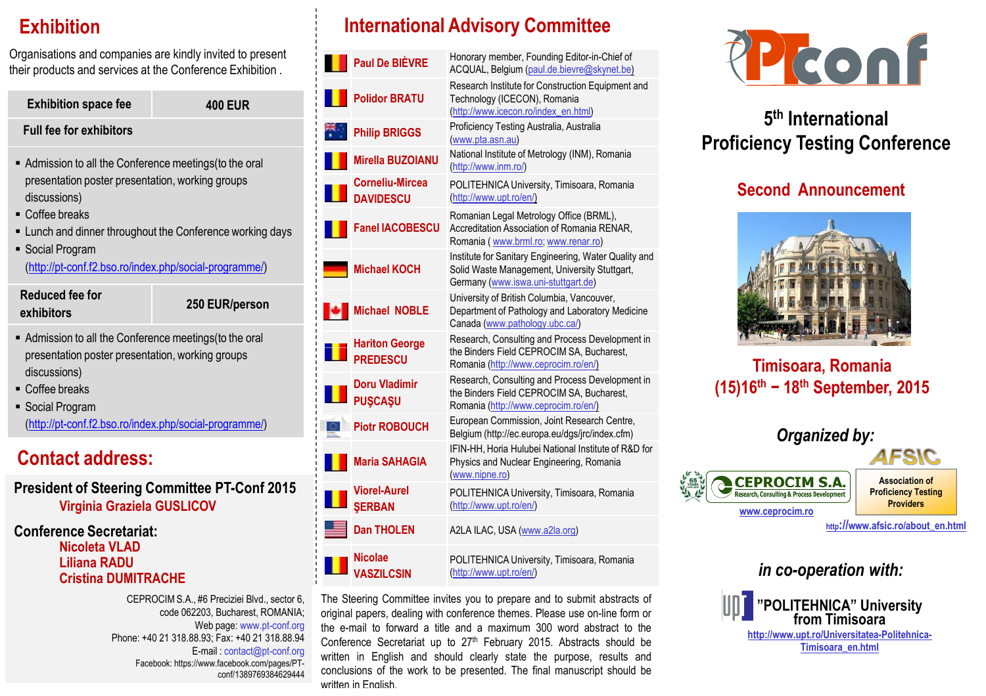# **Exhibition**

Organisations and companies are kindly invited to present their products and services at the Conference Exhibition .

| <b>Exhibition space fee</b>                                                                                                                                                                                                                                                               | <b>400 EUR</b> |  |
|-------------------------------------------------------------------------------------------------------------------------------------------------------------------------------------------------------------------------------------------------------------------------------------------|----------------|--|
| <b>Full fee for exhibitors</b>                                                                                                                                                                                                                                                            |                |  |
| ■ Admission to all the Conference meetings (to the oral<br>presentation poster presentation, working groups<br>discussions)<br>• Coffee breaks<br>■ Lunch and dinner throughout the Conference working days<br>■ Social Program<br>(http://pt-conf.f2.bso.ro/index.php/social-programme/) |                |  |
| Reduced fee for<br>exhibitors                                                                                                                                                                                                                                                             | 250 EUR/person |  |
| ■ Admission to all the Conference meetings (to the oral<br>presentation poster presentation, working groups<br>discussions)                                                                                                                                                               |                |  |
| ■ Coffee breaks<br>■ Social Program                                                                                                                                                                                                                                                       |                |  |

(http://pt-conf.f2.bso.ro/index.php/social-programme/)

# **Contact address:**

**President of Steering Committee PT-Conf 2015Virginia Graziela GUSLICOV**

### **Conference Secretariat:Nicoleta VLAD Liliana RADUCristina DUMITRACHE**

CEPROCIM S.A., #6 Preciziei Blvd., sector 6, code 062203, Bucharest, ROMANIA;Web page: www.pt-conf.org Phone: +40 21 318.88.93; Fax: +40 21 318.88.94 E-mail : contact@pt-conf.org Facebook: https://www.facebook.com/pages/PTconf/1389769384629444

# **International Advisory Committee**

 $\blacksquare$ 

П

트

| Paul De BIÈVRE                           | Honorary member, Founding Editor-in-Chief of<br>ACQUAL, Belgium (paul.de.bievre@skynet.be)                                                    |
|------------------------------------------|-----------------------------------------------------------------------------------------------------------------------------------------------|
| <b>Polidor BRATU</b>                     | Research Institute for Construction Equipment and<br>Technology (ICECON), Romania<br>(http://www.icecon.ro/index_en.html)                     |
| <b>Philip BRIGGS</b>                     | Proficiency Testing Australia, Australia<br>(www.pta.asn.au)                                                                                  |
| Mirella BUZOIANU                         | National Institute of Metrology (INM), Romania<br>(http://www.inm.ro/)                                                                        |
| Corneliu-Mircea<br><b>DAVIDESCU</b>      | POLITEHNICA University, Timisoara, Romania<br>(http://www.upt.ro/en/)                                                                         |
| <b>Fanel IACOBESCU</b>                   | Romanian Legal Metrology Office (BRML),<br>Accreditation Association of Romania RENAR,<br>Romania (www.brml.ro; www.renar.ro)                 |
| Michael KOCH                             | Institute for Sanitary Engineering, Water Quality and<br>Solid Waste Management, University Stuttgart,<br>Germany (www.iswa.uni-stuttgart.de) |
| Michael NOBLE                            | University of British Columbia, Vancouver,<br>Department of Pathology and Laboratory Medicine<br>Canada (www.pathology.ubc.ca/)               |
| <b>Hariton George</b><br><b>PREDESCU</b> | Research, Consulting and Process Development in<br>the Binders Field CEPROCIM SA, Bucharest,<br>Romania (http://www.ceprocim.ro/en/)          |
| Doru Vladimir<br><b>PUSCASU</b>          | Research, Consulting and Process Development in<br>the Binders Field CEPROCIM SA, Bucharest,<br>Romania (http://www.ceprocim.ro/en/)          |
| <b>Piotr ROBOUCH</b>                     | European Commission, Joint Research Centre,<br>Belgium (http://ec.europa.eu/dgs/jrc/index.cfm)                                                |
| Maria SAHAGIA                            | IFIN-HH, Horia Hulubei National Institute of R&D for<br>Physics and Nuclear Engineering, Romania<br>(www.nipne.ro)                            |
| <b>Viorel-Aurel</b><br><b>SERBAN</b>     | POLITEHNICA University, Timisoara, Romania<br>(http://www.upt.ro/en/)                                                                         |
| <b>Dan THOLEN</b>                        | A2LA ILAC, USA (www.a2la.org)                                                                                                                 |
| Nicolae<br><b>VASZILCSIN</b>             | POLITEHNICA University, Timisoara, Romania<br>(http://www.upt.ro/en/)                                                                         |
|                                          |                                                                                                                                               |

The Steering Committee invites you to prepare and to submit abstracts of original papers, dealing with conference themes. Please use on-line form or the e-mail to forward <sup>a</sup> title and <sup>a</sup> maximum 300 word abstract to theConference Secretariat up to 27<sup>th</sup> February 2015. Abstracts should be written in English and should clearly state the purpose, results and conclusions of the work to be presented. The final manuscript should bewritten in Fnalish.<br>.



# **5th InternationalProficiency Testing Conference**

# **Second Announcement**



# **Timisoara, Romania(15)16th − 18th September, 2015**

| Organized by:                                                                                    |                                                                         |
|--------------------------------------------------------------------------------------------------|-------------------------------------------------------------------------|
|                                                                                                  |                                                                         |
| <b>CEPROCIM S.A.</b><br><b>Research, Consulting &amp; Process Development</b><br>www.ceprocim.ro | <b>Association of</b><br><b>Proficiency Testing</b><br><b>Providers</b> |
|                                                                                                  | http://www.afsic.ro/about_en.html                                       |